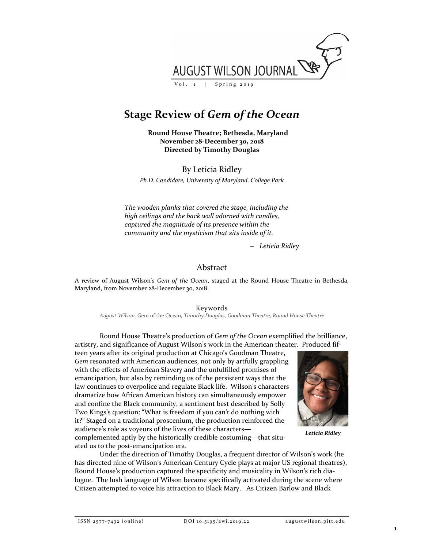

# **Stage Review of** *Gem of the Ocean*

**Round House Theatre; Bethesda, Maryland November 28-December 30, 2018 Directed by Timothy Douglas**

By Leticia Ridley

*Ph.D. Candidate, University of Maryland, College Park*

*The wooden planks that covered the stage, including the high ceilings and the back wall adorned with candles, captured the magnitude of its presence within the community and the mysticism that sits inside of it.*

− *Leticia Ridley*

## Abstract

A review of August Wilson's *Gem of the Ocean*, staged at the Round House Theatre in Bethesda, Maryland, from November 28-December 30, 2018.

Keywords

*August Wilson,* Gem of the Ocean*, Timothy Douglas, Goodman Theatre, Round House Theatre*

Round House Theatre's production of *Gem of the Ocean* exemplified the brilliance, artistry, and significance of August Wilson's work in the American theater. Produced fif-

teen years after its original production at Chicago's Goodman Theatre, *Gem* resonated with American audiences, not only by artfully grappling with the effects of American Slavery and the unfulfilled promises of emancipation, but also by reminding us of the persistent ways that the law continues to overpolice and regulate Black life. Wilson's characters dramatize how African American history can simultaneously empower and confine the Black community, a sentiment best described by Solly Two Kings's question: "What is freedom if you can't do nothing with it?" Staged on a traditional proscenium, the production reinforced the audience's role as voyeurs of the lives of these characters—



*Leticia Ridley*

complemented aptly by the historically credible costuming—that situated us to the post-emancipation era.

Under the direction of Timothy Douglas, a frequent director of Wilson's work (he has directed nine of Wilson's American Century Cycle plays at major US regional theatres), Round House's production captured the specificity and musicality in Wilson's rich dialogue. The lush language of Wilson became specifically activated during the scene where Citizen attempted to voice his attraction to Black Mary. As Citizen Barlow and Black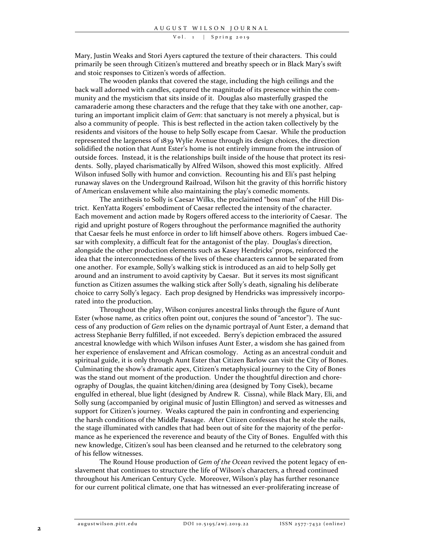#### Vol. 1 | Spring 2019

Mary, Justin Weaks and Stori Ayers captured the texture of their characters. This could primarily be seen through Citizen's muttered and breathy speech or in Black Mary's swift and stoic responses to Citizen's words of affection.

The wooden planks that covered the stage, including the high ceilings and the back wall adorned with candles, captured the magnitude of its presence within the community and the mysticism that sits inside of it. Douglas also masterfully grasped the camaraderie among these characters and the refuge that they take with one another, capturing an important implicit claim of *Gem*: that sanctuary is not merely a physical, but is also a community of people. This is best reflected in the action taken collectively by the residents and visitors of the house to help Solly escape from Caesar. While the production represented the largeness of 1839 Wylie Avenue through its design choices, the direction solidified the notion that Aunt Ester's home is not entirely immune from the intrusion of outside forces. Instead, it is the relationships built inside of the house that protect its residents. Solly, played charismatically by Alfred Wilson, showed this most explicitly. Alfred Wilson infused Solly with humor and conviction. Recounting his and Eli's past helping runaway slaves on the Underground Railroad, Wilson hit the gravity of this horrific history of American enslavement while also maintaining the play's comedic moments.

The antithesis to Solly is Caesar Wilks, the proclaimed "boss man" of the Hill District. KenYatta Rogers' embodiment of Caesar reflected the intensity of the character. Each movement and action made by Rogers offered access to the interiority of Caesar. The rigid and upright posture of Rogers throughout the performance magnified the authority that Caesar feels he must enforce in order to lift himself above others. Rogers imbued Caesar with complexity, a difficult feat for the antagonist of the play. Douglas's direction, alongside the other production elements such as Kasey Hendricks' props, reinforced the idea that the interconnectedness of the lives of these characters cannot be separated from one another. For example, Solly's walking stick is introduced as an aid to help Solly get around and an instrument to avoid captivity by Caesar. But it serves its most significant function as Citizen assumes the walking stick after Solly's death, signaling his deliberate choice to carry Solly's legacy. Each prop designed by Hendricks was impressively incorporated into the production.

Throughout the play, Wilson conjures ancestral links through the figure of Aunt Ester (whose name, as critics often point out, conjures the sound of "ancestor"). The success of any production of *Gem* relies on the dynamic portrayal of Aunt Ester, a demand that actress Stephanie Berry fulfilled, if not exceeded. Berry's depiction embraced the assured ancestral knowledge with which Wilson infuses Aunt Ester, a wisdom she has gained from her experience of enslavement and African cosmology. Acting as an ancestral conduit and spiritual guide, it is only through Aunt Ester that Citizen Barlow can visit the City of Bones. Culminating the show's dramatic apex, Citizen's metaphysical journey to the City of Bones was the stand out moment of the production. Under the thoughtful direction and choreography of Douglas, the quaint kitchen/dining area (designed by Tony Cisek), became engulfed in ethereal, blue light (designed by Andrew R. Cissna), while Black Mary, Eli, and Solly sung (accompanied by original music of Justin Ellington) and served as witnesses and support for Citizen's journey. Weaks captured the pain in confronting and experiencing the harsh conditions of the Middle Passage. After Citizen confesses that he stole the nails, the stage illuminated with candles that had been out of site for the majority of the performance as he experienced the reverence and beauty of the City of Bones. Engulfed with this new knowledge, Citizen's soul has been cleansed and he returned to the celebratory song of his fellow witnesses.

The Round House production of *Gem of the Ocean* revived the potent legacy of enslavement that continues to structure the life of Wilson's characters, a thread continued throughout his American Century Cycle. Moreover, Wilson's play has further resonance for our current political climate, one that has witnessed an ever-proliferating increase of